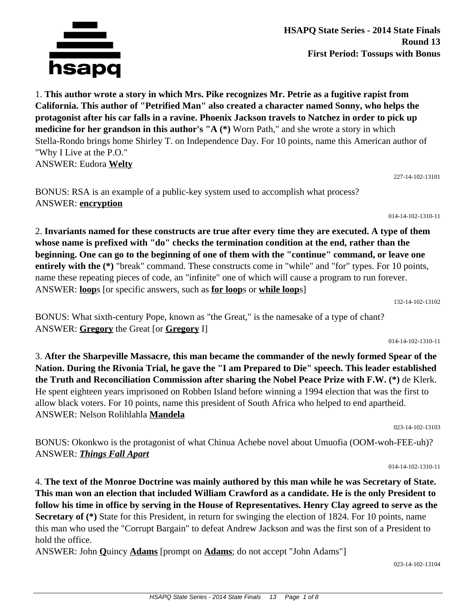

**HSAPQ State Series - 2014 State Finals Round 13 First Period: Tossups with Bonus**

1. **This author wrote a story in which Mrs. Pike recognizes Mr. Petrie as a fugitive rapist from California. This author of "Petrified Man" also created a character named Sonny, who helps the protagonist after his car falls in a ravine. Phoenix Jackson travels to Natchez in order to pick up medicine for her grandson in this author's "A (\*)** Worn Path," and she wrote a story in which Stella-Rondo brings home Shirley T. on Independence Day. For 10 points, name this American author of "Why I Live at the P.O." ANSWER: Eudora **Welty**

227-14-102-13101

BONUS: RSA is an example of a public-key system used to accomplish what process? ANSWER: **encryption**

014-14-102-1310-11

2. **Invariants named for these constructs are true after every time they are executed. A type of them whose name is prefixed with "do" checks the termination condition at the end, rather than the beginning. One can go to the beginning of one of them with the "continue" command, or leave one entirely with the (\*)** "break" command. These constructs come in "while" and "for" types. For 10 points, name these repeating pieces of code, an "infinite" one of which will cause a program to run forever. ANSWER: **loop**s [or specific answers, such as **for loop**s or **while loop**s]

132-14-102-13102

BONUS: What sixth-century Pope, known as "the Great," is the namesake of a type of chant? ANSWER: **Gregory** the Great [or **Gregory** I]

014-14-102-1310-11

3. **After the Sharpeville Massacre, this man became the commander of the newly formed Spear of the Nation. During the Rivonia Trial, he gave the "I am Prepared to Die" speech. This leader established the Truth and Reconciliation Commission after sharing the Nobel Peace Prize with F.W. (\*)** de Klerk. He spent eighteen years imprisoned on Robben Island before winning a 1994 election that was the first to allow black voters. For 10 points, name this president of South Africa who helped to end apartheid. ANSWER: Nelson Rolihlahla **Mandela**

023-14-102-13103

BONUS: Okonkwo is the protagonist of what Chinua Achebe novel about Umuofia (OOM-woh-FEE-uh)? ANSWER: *Things Fall Apart*

014-14-102-1310-11

4. **The text of the Monroe Doctrine was mainly authored by this man while he was Secretary of State. This man won an election that included William Crawford as a candidate. He is the only President to follow his time in office by serving in the House of Representatives. Henry Clay agreed to serve as the Secretary of (\*)** State for this President, in return for swinging the election of 1824. For 10 points, name this man who used the "Corrupt Bargain" to defeat Andrew Jackson and was the first son of a President to hold the office.

ANSWER: John **Q**uincy **Adams** [prompt on **Adams**; do not accept "John Adams"]

023-14-102-13104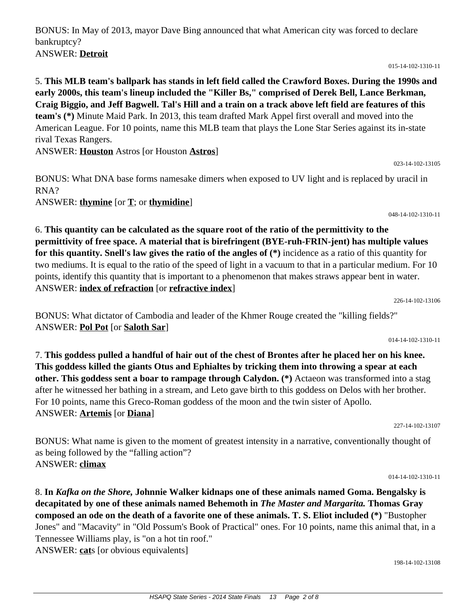BONUS: In May of 2013, mayor Dave Bing announced that what American city was forced to declare bankruptcy? ANSWER: **Detroit**

015-14-102-1310-11

5. **This MLB team's ballpark has stands in left field called the Crawford Boxes. During the 1990s and early 2000s, this team's lineup included the "Killer Bs," comprised of Derek Bell, Lance Berkman, Craig Biggio, and Jeff Bagwell. Tal's Hill and a train on a track above left field are features of this team's (\*)** Minute Maid Park. In 2013, this team drafted Mark Appel first overall and moved into the American League. For 10 points, name this MLB team that plays the Lone Star Series against its in-state rival Texas Rangers.

ANSWER: **Houston** Astros [or Houston **Astros**]

BONUS: What DNA base forms namesake dimers when exposed to UV light and is replaced by uracil in RNA?

ANSWER: **thymine** [or **T**; or **thymidine**]

048-14-102-1310-11

023-14-102-13105

6. **This quantity can be calculated as the square root of the ratio of the permittivity to the permittivity of free space. A material that is birefringent (BYE-ruh-FRIN-jent) has multiple values for this quantity. Snell's law gives the ratio of the angles of (\*)** incidence as a ratio of this quantity for two mediums. It is equal to the ratio of the speed of light in a vacuum to that in a particular medium. For 10 points, identify this quantity that is important to a phenomenon that makes straws appear bent in water. ANSWER: **index of refraction** [or **refractive index**]

226-14-102-13106

BONUS: What dictator of Cambodia and leader of the Khmer Rouge created the "killing fields?" ANSWER: **Pol Pot** [or **Saloth Sar**]

014-14-102-1310-11

7. **This goddess pulled a handful of hair out of the chest of Brontes after he placed her on his knee. This goddess killed the giants Otus and Ephialtes by tricking them into throwing a spear at each other. This goddess sent a boar to rampage through Calydon. (\*)** Actaeon was transformed into a stag after he witnessed her bathing in a stream, and Leto gave birth to this goddess on Delos with her brother. For 10 points, name this Greco-Roman goddess of the moon and the twin sister of Apollo. ANSWER: **Artemis** [or **Diana**]

227-14-102-13107

BONUS: What name is given to the moment of greatest intensity in a narrative, conventionally thought of as being followed by the "falling action"? ANSWER: **climax**

014-14-102-1310-11

8. **In** *Kafka on the Shore,* **Johnnie Walker kidnaps one of these animals named Goma. Bengalsky is decapitated by one of these animals named Behemoth in** *The Master and Margarita.* **Thomas Gray composed an ode on the death of a favorite one of these animals. T. S. Eliot included (\*)** "Bustopher Jones" and "Macavity" in "Old Possum's Book of Practical" ones. For 10 points, name this animal that, in a Tennessee Williams play, is "on a hot tin roof." ANSWER: **cat**s [or obvious equivalents]

198-14-102-13108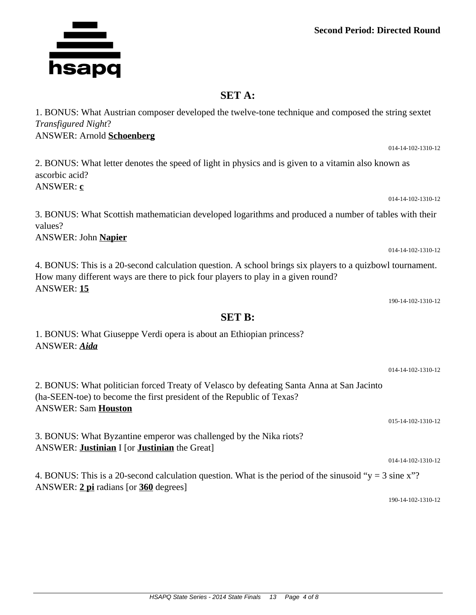## **Second Period: Directed Round**

## **SET A:**

1. BONUS: What Austrian composer developed the twelve-tone technique and composed the string sextet *Transfigured Night*? ANSWER: Arnold **Schoenberg**

2. BONUS: What letter denotes the speed of light in physics and is given to a vitamin also known as ascorbic acid?

3. BONUS: What Scottish mathematician developed logarithms and produced a number of tables with their

4. BONUS: This is a 20-second calculation question. A school brings six players to a quizbowl tournament. How many different ways are there to pick four players to play in a given round? ANSWER: **15**

190-14-102-1310-12

014-14-102-1310-12

015-14-102-1310-12

014-14-102-1310-12

2. BONUS: What politician forced Treaty of Velasco by defeating Santa Anna at San Jacinto (ha-SEEN-toe) to become the first president of the Republic of Texas? ANSWER: Sam **Houston**

3. BONUS: What Byzantine emperor was challenged by the Nika riots? ANSWER: **Justinian** I [or **Justinian** the Great]

1. BONUS: What Giuseppe Verdi opera is about an Ethiopian princess?

4. BONUS: This is a 20-second calculation question. What is the period of the sinusoid " $y = 3$  sine x"? ANSWER: **2 pi** radians [or **360** degrees]

190-14-102-1310-12

ANSWER: **c** values? ANSWER: John **Napier SET B:**



ANSWER: *Aida*

014-14-102-1310-12

014-14-102-1310-12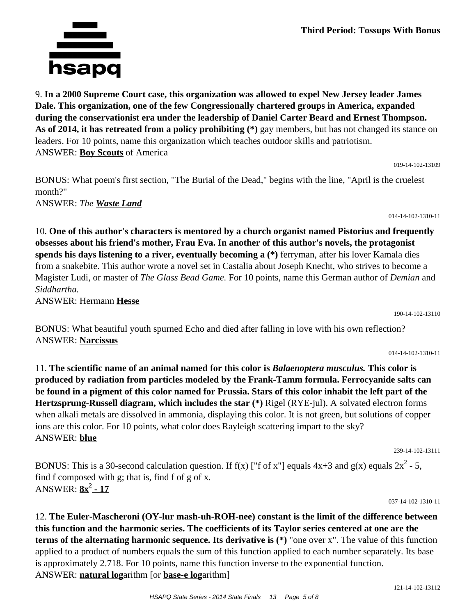**Third Period: Tossups With Bonus**

9. **In a 2000 Supreme Court case, this organization was allowed to expel New Jersey leader James Dale. This organization, one of the few Congressionally chartered groups in America, expanded during the conservationist era under the leadership of Daniel Carter Beard and Ernest Thompson. As of 2014, it has retreated from a policy prohibiting (\*)** gay members, but has not changed its stance on leaders. For 10 points, name this organization which teaches outdoor skills and patriotism. ANSWER: **Boy Scouts** of America

019-14-102-13109

BONUS: What poem's first section, "The Burial of the Dead," begins with the line, "April is the cruelest month?" ANSWER: *The Waste Land*

014-14-102-1310-11

10. **One of this author's characters is mentored by a church organist named Pistorius and frequently obsesses about his friend's mother, Frau Eva. In another of this author's novels, the protagonist spends his days listening to a river, eventually becoming a (\*)** ferryman, after his lover Kamala dies from a snakebite. This author wrote a novel set in Castalia about Joseph Knecht, who strives to become a Magister Ludi, or master of *The Glass Bead Game.* For 10 points, name this German author of *Demian* and *Siddhartha.*

ANSWER: Hermann **Hesse**

BONUS: What beautiful youth spurned Echo and died after falling in love with his own reflection? ANSWER: **Narcissus**

014-14-102-1310-11

190-14-102-13110

11. **The scientific name of an animal named for this color is** *Balaenoptera musculus.* **This color is produced by radiation from particles modeled by the Frank-Tamm formula. Ferrocyanide salts can be found in a pigment of this color named for Prussia. Stars of this color inhabit the left part of the Hertzsprung-Russell diagram, which includes the star (\*)** Rigel (RYE-jul). A solvated electron forms when alkali metals are dissolved in ammonia, displaying this color. It is not green, but solutions of copper ions are this color. For 10 points, what color does Rayleigh scattering impart to the sky? ANSWER: **blue**

239-14-102-13111

BONUS: This is a 30-second calculation question. If f(x) ["f of x"] equals  $4x+3$  and  $g(x)$  equals  $2x^2 - 5$ , find f composed with g; that is, find f of g of x. ANSWER: **8x<sup>2</sup> - 17**

037-14-102-1310-11

12. **The Euler-Mascheroni (OY-lur mash-uh-ROH-nee) constant is the limit of the difference between this function and the harmonic series. The coefficients of its Taylor series centered at one are the terms of the alternating harmonic sequence. Its derivative is (\*)** "one over x". The value of this function applied to a product of numbers equals the sum of this function applied to each number separately. Its base is approximately 2.718. For 10 points, name this function inverse to the exponential function. ANSWER: **natural log**arithm [or **base-e log**arithm]

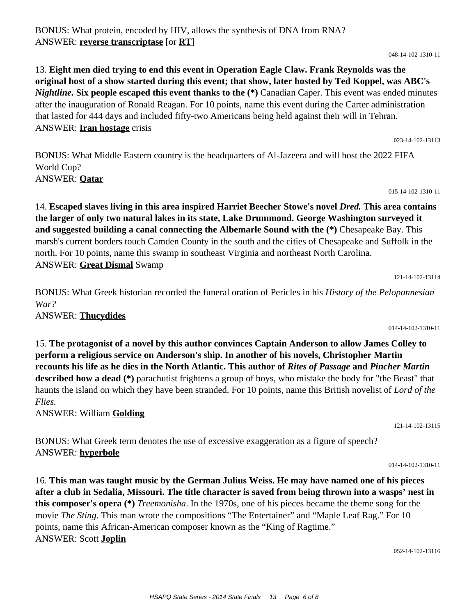BONUS: What protein, encoded by HIV, allows the synthesis of DNA from RNA? ANSWER: **reverse transcriptase** [or **RT**]

13. **Eight men died trying to end this event in Operation Eagle Claw. Frank Reynolds was the original host of a show started during this event; that show, later hosted by Ted Koppel, was ABC's**  *Nightline.* **Six people escaped this event thanks to the (\*)** Canadian Caper. This event was ended minutes after the inauguration of Ronald Reagan. For 10 points, name this event during the Carter administration that lasted for 444 days and included fifty-two Americans being held against their will in Tehran. ANSWER: **Iran hostage** crisis

BONUS: What Middle Eastern country is the headquarters of Al-Jazeera and will host the 2022 FIFA World Cup? ANSWER: **Qatar**

14. **Escaped slaves living in this area inspired Harriet Beecher Stowe's novel** *Dred.* **This area contains the larger of only two natural lakes in its state, Lake Drummond. George Washington surveyed it and suggested building a canal connecting the Albemarle Sound with the (\*)** Chesapeake Bay. This marsh's current borders touch Camden County in the south and the cities of Chesapeake and Suffolk in the north. For 10 points, name this swamp in southeast Virginia and northeast North Carolina. ANSWER: **Great Dismal** Swamp

BONUS: What Greek historian recorded the funeral oration of Pericles in his *History of the Peloponnesian War?* ANSWER: **Thucydides**

15. **The protagonist of a novel by this author convinces Captain Anderson to allow James Colley to perform a religious service on Anderson's ship. In another of his novels, Christopher Martin recounts his life as he dies in the North Atlantic. This author of** *Rites of Passage* **and** *Pincher Martin* **described how a dead (\*)** parachutist frightens a group of boys, who mistake the body for "the Beast" that haunts the island on which they have been stranded. For 10 points, name this British novelist of *Lord of the Flies.*

ANSWER: William **Golding**

BONUS: What Greek term denotes the use of excessive exaggeration as a figure of speech? ANSWER: **hyperbole**

16. **This man was taught music by the German Julius Weiss. He may have named one of his pieces after a club in Sedalia, Missouri. The title character is saved from being thrown into a wasps' nest in this composer's opera (\*)** *Treemonisha*. In the 1970s, one of his pieces became the theme song for the movie *The Sting*. This man wrote the compositions "The Entertainer" and "Maple Leaf Rag." For 10 points, name this African-American composer known as the "King of Ragtime." ANSWER: Scott **Joplin**

052-14-102-13116

014-14-102-1310-11

121-14-102-13114

014-14-102-1310-11

121-14-102-13115

023-14-102-13113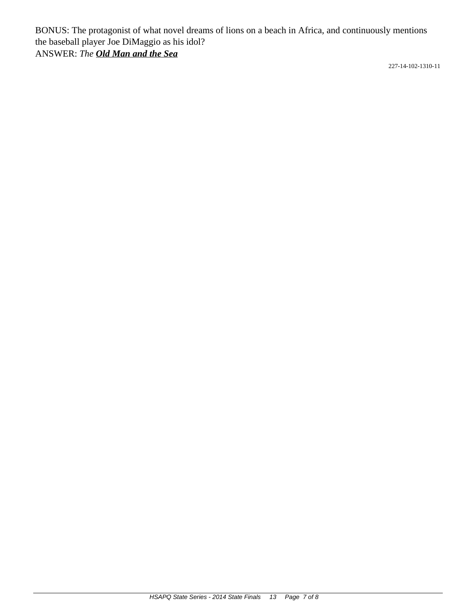BONUS: The protagonist of what novel dreams of lions on a beach in Africa, and continuously mentions the baseball player Joe DiMaggio as his idol? ANSWER: *The Old Man and the Sea*